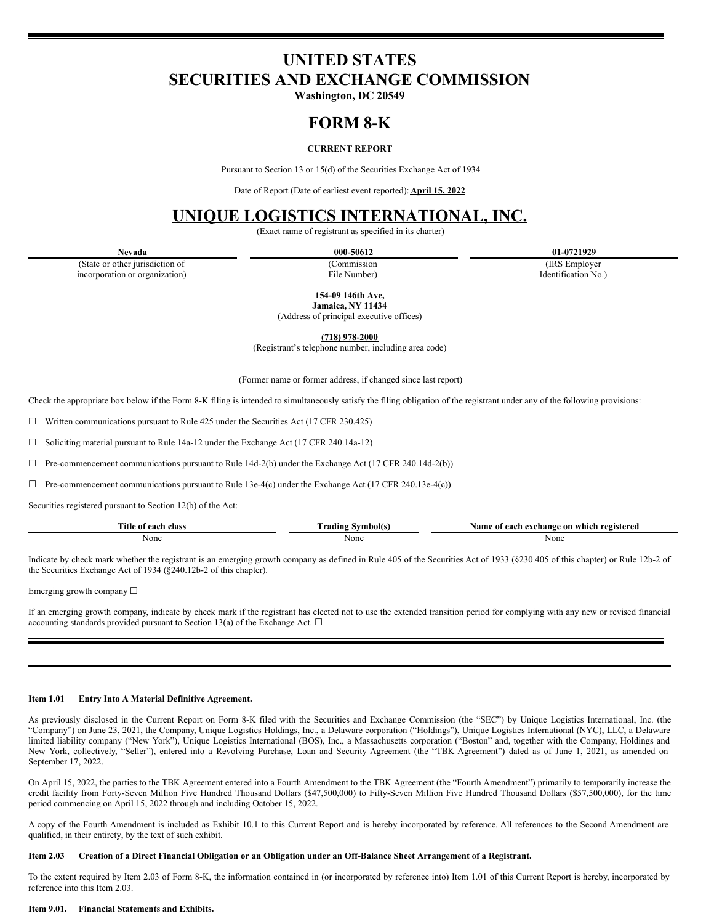# **UNITED STATES SECURITIES AND EXCHANGE COMMISSION**

**Washington, DC 20549**

# **FORM 8-K**

# **CURRENT REPORT**

Pursuant to Section 13 or 15(d) of the Securities Exchange Act of 1934

Date of Report (Date of earliest event reported): **April 15, 2022**

# **UNIQUE LOGISTICS INTERNATIONAL, INC.**

(Exact name of registrant as specified in its charter)

(State or other jurisdiction of incorporation or organization)

(Commission File Number)

**Nevada 000-50612 01-0721929**

(IRS Employer Identification No.)

**154-09 146th Ave,**

**Jamaica, NY 11434** (Address of principal executive offices)

**(718) 978-2000**

(Registrant's telephone number, including area code)

(Former name or former address, if changed since last report)

Check the appropriate box below if the Form 8-K filing is intended to simultaneously satisfy the filing obligation of the registrant under any of the following provisions:

☐ Written communications pursuant to Rule 425 under the Securities Act (17 CFR 230.425)

☐ Soliciting material pursuant to Rule 14a-12 under the Exchange Act (17 CFR 240.14a-12)

 $\Box$  Pre-commencement communications pursuant to Rule 14d-2(b) under the Exchange Act (17 CFR 240.14d-2(b))

 $\Box$  Pre-commencement communications pursuant to Rule 13e-4(c) under the Exchange Act (17 CFR 240.13e-4(c))

Securities registered pursuant to Section 12(b) of the Act:

| <b>There</b><br>ritle<br>aaah<br>olocc<br>01<br>лазз | ---  | . \am<br>registerea<br>-which<br>exchange<br>. aan h<br>0n<br>: 0T<br>ы |
|------------------------------------------------------|------|-------------------------------------------------------------------------|
| None                                                 | None | None                                                                    |
| $\ddotsc$                                            |      | .                                                                       |

Indicate by check mark whether the registrant is an emerging growth company as defined in Rule 405 of the Securities Act of 1933 (§230.405 of this chapter) or Rule 12b-2 of the Securities Exchange Act of 1934 (§240.12b-2 of this chapter).

Emerging growth company ☐

If an emerging growth company, indicate by check mark if the registrant has elected not to use the extended transition period for complying with any new or revised financial accounting standards provided pursuant to Section 13(a) of the Exchange Act.  $\Box$ 

### **Item 1.01 Entry Into A Material Definitive Agreement.**

As previously disclosed in the Current Report on Form 8-K filed with the Securities and Exchange Commission (the "SEC") by Unique Logistics International, Inc. (the "Company") on June 23, 2021, the Company, Unique Logistics Holdings, Inc., a Delaware corporation ("Holdings"), Unique Logistics International (NYC), LLC, a Delaware limited liability company ("New York"), Unique Logistics International (BOS), Inc., a Massachusetts corporation ("Boston" and, together with the Company, Holdings and New York, collectively, "Seller"), entered into a Revolving Purchase, Loan and Security Agreement (the "TBK Agreement") dated as of June 1, 2021, as amended on September 17, 2022.

On April 15, 2022, the parties to the TBK Agreement entered into a Fourth Amendment to the TBK Agreement (the "Fourth Amendment") primarily to temporarily increase the credit facility from Forty-Seven Million Five Hundred Thousand Dollars (\$47,500,000) to Fifty-Seven Million Five Hundred Thousand Dollars (\$57,500,000), for the time period commencing on April 15, 2022 through and including October 15, 2022.

A copy of the Fourth Amendment is included as Exhibit 10.1 to this Current Report and is hereby incorporated by reference. All references to the Second Amendment are qualified, in their entirety, by the text of such exhibit.

#### Item 2.03 Creation of a Direct Financial Obligation or an Obligation under an Off-Balance Sheet Arrangement of a Registrant.

To the extent required by Item 2.03 of Form 8-K, the information contained in (or incorporated by reference into) Item 1.01 of this Current Report is hereby, incorporated by reference into this Item 2.03.

#### **Item 9.01. Financial Statements and Exhibits.**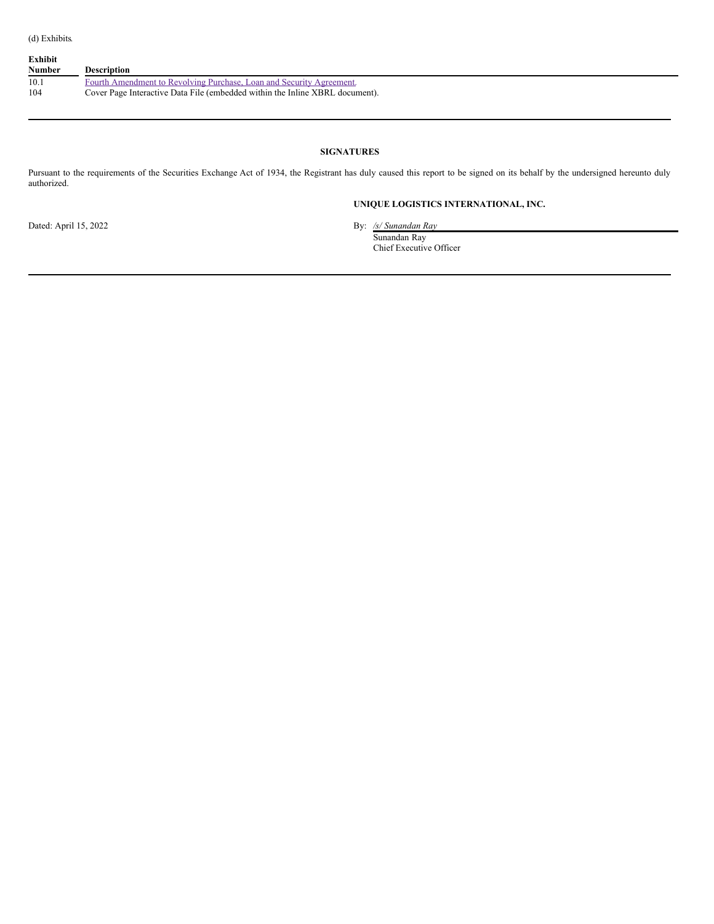| Exhibit<br><b>Number</b> | <b>Description</b>                                                           |
|--------------------------|------------------------------------------------------------------------------|
| 10.1                     | Fourth Amendment to Revolving Purchase, Loan and Security Agreement.         |
| 104                      | Cover Page Interactive Data File (embedded within the Inline XBRL document). |

## **SIGNATURES**

Pursuant to the requirements of the Securities Exchange Act of 1934, the Registrant has duly caused this report to be signed on its behalf by the undersigned hereunto duly authorized.

# **UNIQUE LOGISTICS INTERNATIONAL, INC.**

Dated: April 15, 2022 By: */s/ Sunandan Ray* Sunandan Ray

Chief Executive Officer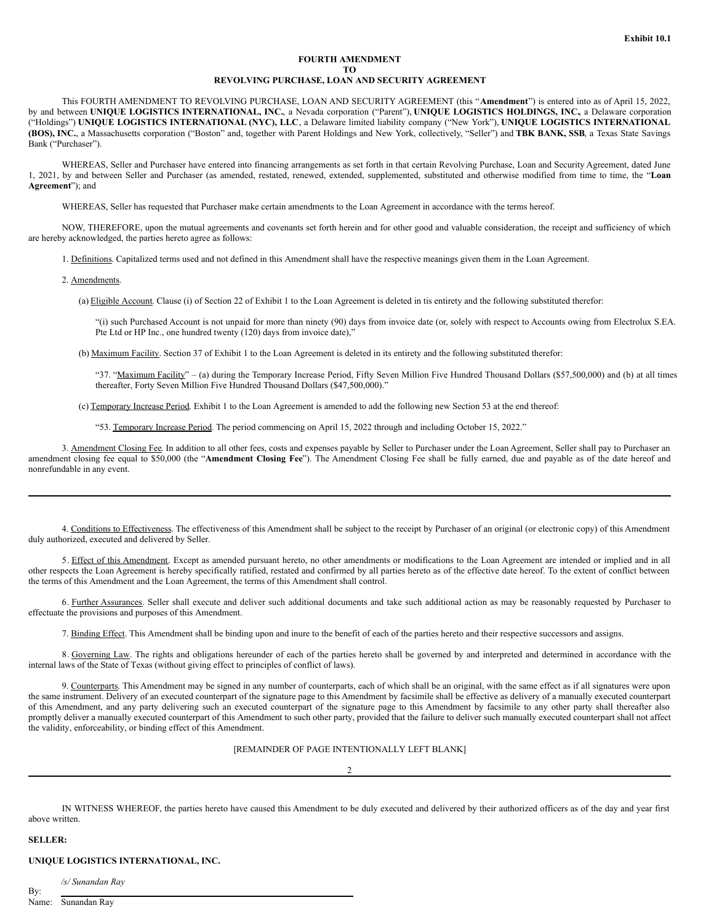### **FOURTH AMENDMENT TO REVOLVING PURCHASE, LOAN AND SECURITY AGREEMENT**

<span id="page-2-0"></span>This FOURTH AMENDMENT TO REVOLVING PURCHASE, LOAN AND SECURITY AGREEMENT (this "**Amendment**") is entered into as of April 15, 2022, by and between **UNIQUE LOGISTICS INTERNATIONAL, INC.**, a Nevada corporation ("Parent"), **UNIQUE LOGISTICS HOLDINGS, INC.**, a Delaware corporation ("Holdings") **UNIQUE LOGISTICS INTERNATIONAL (NYC), LLC**, a Delaware limited liability company ("New York"), **UNIQUE LOGISTICS INTERNATIONAL (BOS), INC.**, a Massachusetts corporation ("Boston" and, together with Parent Holdings and New York, collectively, "Seller") and **TBK BANK, SSB**, a Texas State Savings Bank ("Purchaser").

WHEREAS, Seller and Purchaser have entered into financing arrangements as set forth in that certain Revolving Purchase, Loan and Security Agreement, dated June 1, 2021, by and between Seller and Purchaser (as amended, restated, renewed, extended, supplemented, substituted and otherwise modified from time to time, the "**Loan Agreement**"); and

WHEREAS, Seller has requested that Purchaser make certain amendments to the Loan Agreement in accordance with the terms hereof.

NOW, THEREFORE, upon the mutual agreements and covenants set forth herein and for other good and valuable consideration, the receipt and sufficiency of which are hereby acknowledged, the parties hereto agree as follows:

1. Definitions. Capitalized terms used and not defined in this Amendment shall have the respective meanings given them in the Loan Agreement.

2. Amendments.

(a) Eligible Account. Clause (i) of Section 22 of Exhibit 1 to the Loan Agreement is deleted in tis entirety and the following substituted therefor:

"(i) such Purchased Account is not unpaid for more than ninety (90) days from invoice date (or, solely with respect to Accounts owing from Electrolux S.EA. Pte Ltd or HP Inc., one hundred twenty (120) days from invoice date),"

(b) Maximum Facility. Section 37 of Exhibit 1 to the Loan Agreement is deleted in its entirety and the following substituted therefor:

"37. "Maximum Facility" - (a) during the Temporary Increase Period, Fifty Seven Million Five Hundred Thousand Dollars (\$57,500,000) and (b) at all times thereafter, Forty Seven Million Five Hundred Thousand Dollars (\$47,500,000)."

(c) Temporary Increase Period. Exhibit 1 to the Loan Agreement is amended to add the following new Section 53 at the end thereof:

"53. Temporary Increase Period. The period commencing on April 15, 2022 through and including October 15, 2022."

3. Amendment Closing Fee. In addition to all other fees, costs and expenses payable by Seller to Purchaser under the Loan Agreement, Seller shall pay to Purchaser an amendment closing fee equal to \$50,000 (the "**Amendment Closing Fee**"). The Amendment Closing Fee shall be fully earned, due and payable as of the date hereof and nonrefundable in any event.

4. Conditions to Effectiveness. The effectiveness of this Amendment shall be subject to the receipt by Purchaser of an original (or electronic copy) of this Amendment duly authorized, executed and delivered by Seller.

5. Effect of this Amendment. Except as amended pursuant hereto, no other amendments or modifications to the Loan Agreement are intended or implied and in all other respects the Loan Agreement is hereby specifically ratified, restated and confirmed by all parties hereto as of the effective date hereof. To the extent of conflict between the terms of this Amendment and the Loan Agreement, the terms of this Amendment shall control.

6. Further Assurances. Seller shall execute and deliver such additional documents and take such additional action as may be reasonably requested by Purchaser to effectuate the provisions and purposes of this Amendment.

7. Binding Effect. This Amendment shall be binding upon and inure to the benefit of each of the parties hereto and their respective successors and assigns.

8. Governing Law. The rights and obligations hereunder of each of the parties hereto shall be governed by and interpreted and determined in accordance with the internal laws of the State of Texas (without giving effect to principles of conflict of laws).

9. Counterparts. This Amendment may be signed in any number of counterparts, each of which shall be an original, with the same effect as if all signatures were upon the same instrument. Delivery of an executed counterpart of the signature page to this Amendment by facsimile shall be effective as delivery of a manually executed counterpart of this Amendment, and any party delivering such an executed counterpart of the signature page to this Amendment by facsimile to any other party shall thereafter also promptly deliver a manually executed counterpart of this Amendment to such other party, provided that the failure to deliver such manually executed counterpart shall not affect the validity, enforceability, or binding effect of this Amendment.

[REMAINDER OF PAGE INTENTIONALLY LEFT BLANK]

2

IN WITNESS WHEREOF, the parties hereto have caused this Amendment to be duly executed and delivered by their authorized officers as of the day and year first above written.

#### **SELLER:**

By:

**UNIQUE LOGISTICS INTERNATIONAL, INC.**

*/s/ Sunandan Ray*

Name: Sunandan Ray